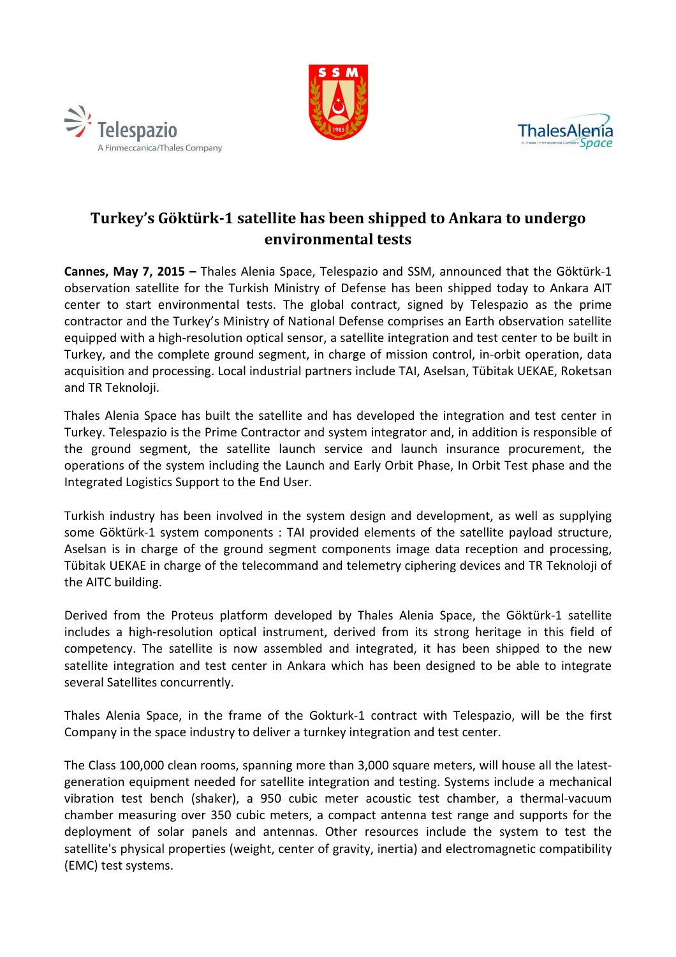





# **Turkey's Göktürk-1 satellite has been shipped to Ankara to undergo environmental tests**

**Cannes, May 7, 2015 –** Thales Alenia Space, Telespazio and SSM, announced that the Göktürk-1 observation satellite for the Turkish Ministry of Defense has been shipped today to Ankara AIT center to start environmental tests. The global contract, signed by Telespazio as the prime contractor and the Turkey's Ministry of National Defense comprises an Earth observation satellite equipped with a high-resolution optical sensor, a satellite integration and test center to be built in Turkey, and the complete ground segment, in charge of mission control, in-orbit operation, data acquisition and processing. Local industrial partners include TAI, Aselsan, Tübitak UEKAE, Roketsan and TR Teknoloji.

Thales Alenia Space has built the satellite and has developed the integration and test center in Turkey. Telespazio is the Prime Contractor and system integrator and, in addition is responsible of the ground segment, the satellite launch service and launch insurance procurement, the operations of the system including the Launch and Early Orbit Phase, In Orbit Test phase and the Integrated Logistics Support to the End User.

Turkish industry has been involved in the system design and development, as well as supplying some Göktürk-1 system components : TAI provided elements of the satellite payload structure, Aselsan is in charge of the ground segment components image data reception and processing, Tübitak UEKAE in charge of the telecommand and telemetry ciphering devices and TR Teknoloji of the AITC building.

Derived from the Proteus platform developed by Thales Alenia Space, the Göktürk-1 satellite includes a high-resolution optical instrument, derived from its strong heritage in this field of competency. The satellite is now assembled and integrated, it has been shipped to the new satellite integration and test center in Ankara which has been designed to be able to integrate several Satellites concurrently.

Thales Alenia Space, in the frame of the Gokturk-1 contract with Telespazio, will be the first Company in the space industry to deliver a turnkey integration and test center.

The Class 100,000 clean rooms, spanning more than 3,000 square meters, will house all the latestgeneration equipment needed for satellite integration and testing. Systems include a mechanical vibration test bench (shaker), a 950 cubic meter acoustic test chamber, a thermal-vacuum chamber measuring over 350 cubic meters, a compact antenna test range and supports for the deployment of solar panels and antennas. Other resources include the system to test the satellite's physical properties (weight, center of gravity, inertia) and electromagnetic compatibility (EMC) test systems.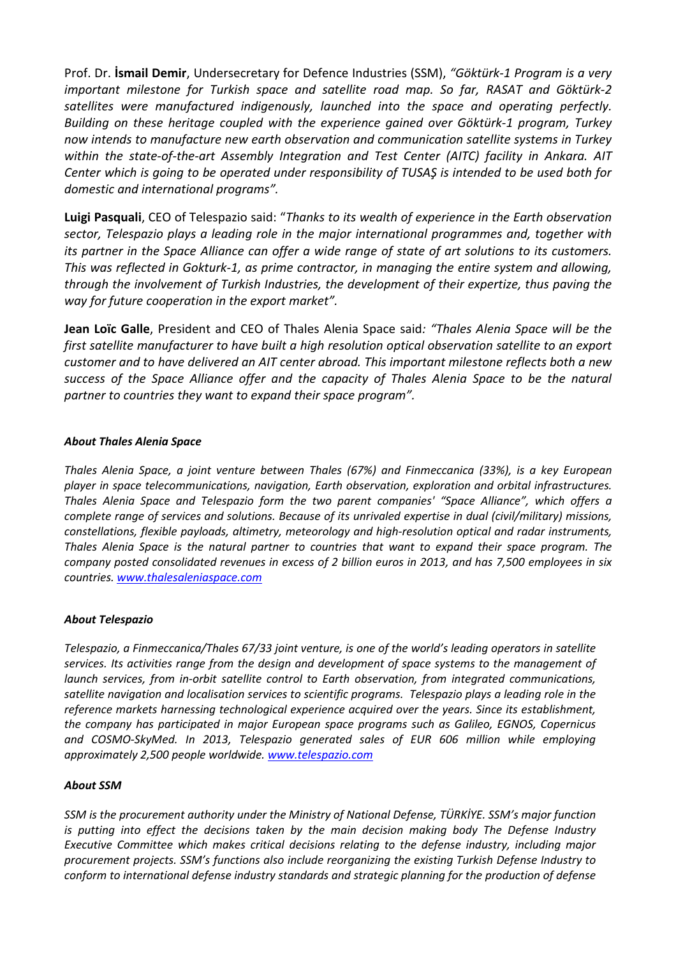Prof. Dr. **İsmail Demir**, Undersecretary for Defence Industries (SSM), *"Göktürk-1 Program is a very important milestone for Turkish space and satellite road map. So far, RASAT and Göktürk-2 satellites were manufactured indigenously, launched into the space and operating perfectly. Building on these heritage coupled with the experience gained over Göktürk-1 program, Turkey now intends to manufacture new earth observation and communication satellite systems in Turkey within the state-of-the-art Assembly Integration and Test Center (AITC) facility in Ankara. AIT Center which is going to be operated under responsibility of TUSAŞ is intended to be used both for domestic and international programs".*

**Luigi Pasquali**, CEO of Telespazio said: "*Thanks to its wealth of experience in the Earth observation sector, Telespazio plays a leading role in the major international programmes and, together with its partner in the Space Alliance can offer a wide range of state of art solutions to its customers. This was reflected in Gokturk-1, as prime contractor, in managing the entire system and allowing, through the involvement of Turkish Industries, the development of their expertize, thus paving the way for future cooperation in the export market".* 

**Jean Loïc Galle**, President and CEO of Thales Alenia Space said*: "Thales Alenia Space will be the first satellite manufacturer to have built a high resolution optical observation satellite to an export customer and to have delivered an AIT center abroad. This important milestone reflects both a new success of the Space Alliance offer and the capacity of Thales Alenia Space to be the natural partner to countries they want to expand their space program".* 

## *About Thales Alenia Space*

*Thales Alenia Space, a joint venture between Thales (67%) and Finmeccanica (33%), is a key European player in space telecommunications, navigation, Earth observation, exploration and orbital infrastructures. Thales Alenia Space and Telespazio form the two parent companies' "Space Alliance", which offers a complete range of services and solutions. Because of its unrivaled expertise in dual (civil/military) missions, constellations, flexible payloads, altimetry, meteorology and high-resolution optical and radar instruments, Thales Alenia Space is the natural partner to countries that want to expand their space program. The company posted consolidated revenues in excess of 2 billion euros in 2013, and has 7,500 employees in six countries. www.thalesaleniaspace.com*

## *About Telespazio*

*Telespazio, a Finmeccanica/Thales 67/33 joint venture, is one of the world's leading operators in satellite services. Its activities range from the design and development of space systems to the management of launch services, from in-orbit satellite control to Earth observation, from integrated communications, satellite navigation and localisation services to scientific programs. Telespazio plays a leading role in the reference markets harnessing technological experience acquired over the years. Since its establishment, the company has participated in major European space programs such as Galileo, EGNOS, Copernicus and COSMO-SkyMed. In 2013, Telespazio generated sales of EUR 606 million while employing approximately 2,500 people worldwide. www.telespazio.com*

## *About SSM*

*SSM is the procurement authority under the Ministry of National Defense, TÜRKİYE. SSM's major function* is putting into effect the decisions taken by the main decision making body The Defense Industry *Executive Committee which makes critical decisions relating to the defense industry, including major procurement projects. SSM's functions also include reorganizing the existing Turkish Defense Industry to conform to international defense industry standards and strategic planning for the production of defense*